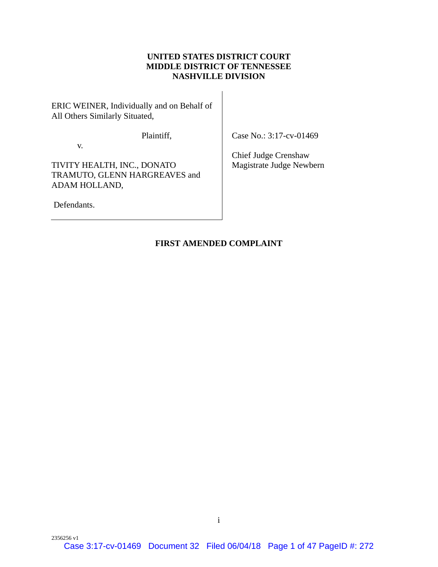# **UNITED STATES DISTRICT COURT MIDDLE DISTRICT OF TENNESSEE NASHVILLE DIVISION**

ERIC WEINER, Individually and on Behalf of All Others Similarly Situated,

Plaintiff,

Case No.: 3:17-cv-01469

v.

TIVITY HEALTH, INC., DONATO TRAMUTO, GLENN HARGREAVES and ADAM HOLLAND,

Defendants.

Chief Judge Crenshaw Magistrate Judge Newbern

# **FIRST AMENDED COMPLAINT**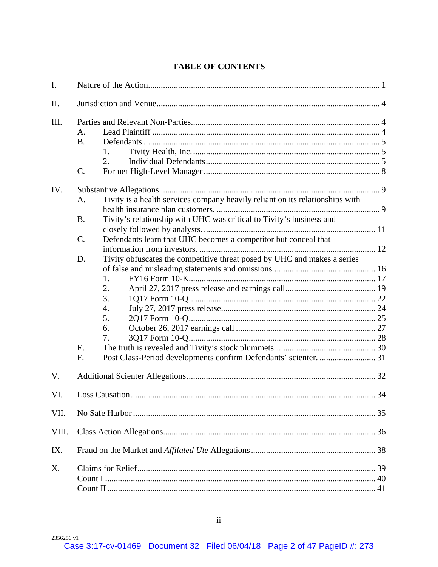# **TABLE OF CONTENTS**

| I.    |                                                                                                                                                                                                                        |  |
|-------|------------------------------------------------------------------------------------------------------------------------------------------------------------------------------------------------------------------------|--|
| II.   |                                                                                                                                                                                                                        |  |
| III.  | A.<br><b>B.</b><br>1.<br>2.<br>C.                                                                                                                                                                                      |  |
| IV.   | Tivity is a health services company heavily reliant on its relationships with<br>A.<br>Tivity's relationship with UHC was critical to Tivity's business and<br><b>B.</b>                                               |  |
|       | Defendants learn that UHC becomes a competitor but conceal that<br>C.                                                                                                                                                  |  |
|       | Tivity obfuscates the competitive threat posed by UHC and makes a series<br>D.<br>1.<br>2.<br>3.<br>$\overline{4}$ .<br>5.<br>6.<br>7.<br>E.<br>Post Class-Period developments confirm Defendants' scienter.  31<br>F. |  |
| V.    |                                                                                                                                                                                                                        |  |
| VI.   |                                                                                                                                                                                                                        |  |
| VII.  |                                                                                                                                                                                                                        |  |
| VIII. |                                                                                                                                                                                                                        |  |
| IX.   |                                                                                                                                                                                                                        |  |
| Χ.    |                                                                                                                                                                                                                        |  |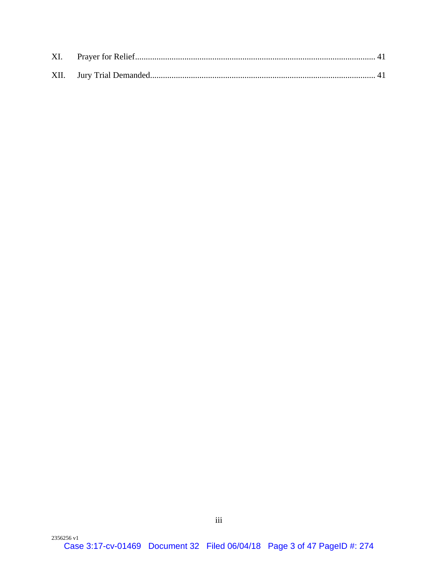| XI. |  |
|-----|--|
|     |  |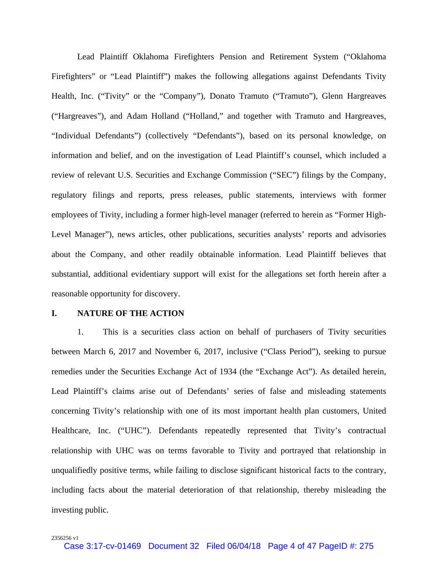Lead Plaintiff Oklahoma Firefighters Pension and Retirement System ("Oklahoma Firefighters" or "Lead Plaintiff") makes the following allegations against Defendants Tivity Health, Inc. ("Tivity" or the "Company"), Donato Tramuto ("Tramuto"), Glenn Hargreaves ("Hargreaves"), and Adam Holland ("Holland," and together with Tramuto and Hargreaves, "Individual Defendants") (collectively "Defendants"), based on its personal knowledge, on information and belief, and on the investigation of Lead Plaintiff's counsel, which included a review of relevant U.S. Securities and Exchange Commission ("SEC") filings by the Company, regulatory filings and reports, press releases, public statements, interviews with former employees of Tivity, including a former high-level manager (referred to herein as "Former High-Level Manager"), news articles, other publications, securities analysts' reports and advisories about the Company, and other readily obtainable information. Lead Plaintiff believes that substantial, additional evidentiary support will exist for the allegations set forth herein after a reasonable opportunity for discovery.

### **I. NATURE OF THE ACTION**

1. This is a securities class action on behalf of purchasers of Tivity securities between March 6, 2017 and November 6, 2017, inclusive ("Class Period"), seeking to pursue remedies under the Securities Exchange Act of 1934 (the "Exchange Act"). As detailed herein, Lead Plaintiff's claims arise out of Defendants' series of false and misleading statements concerning Tivity's relationship with one of its most important health plan customers, United Healthcare, Inc. ("UHC"). Defendants repeatedly represented that Tivity's contractual relationship with UHC was on terms favorable to Tivity and portrayed that relationship in unqualifiedly positive terms, while failing to disclose significant historical facts to the contrary, including facts about the material deterioration of that relationship, thereby misleading the investing public.

2356256 v1

Case 3:17-cv-01469 Document 32 Filed 06/04/18 Page 4 of 47 PageID #: 275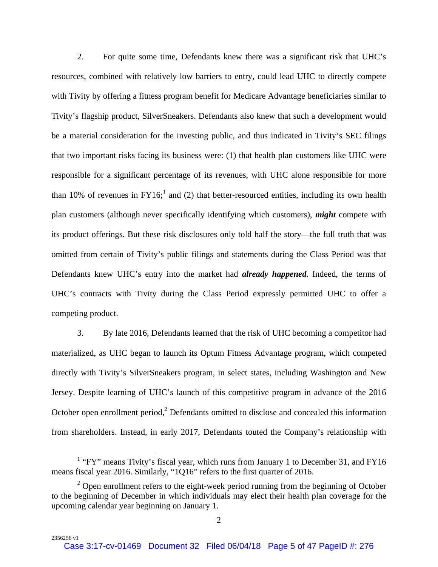2. For quite some time, Defendants knew there was a significant risk that UHC's resources, combined with relatively low barriers to entry, could lead UHC to directly compete with Tivity by offering a fitness program benefit for Medicare Advantage beneficiaries similar to Tivity's flagship product, SilverSneakers. Defendants also knew that such a development would be a material consideration for the investing public, and thus indicated in Tivity's SEC filings that two important risks facing its business were: (1) that health plan customers like UHC were responsible for a significant percentage of its revenues, with UHC alone responsible for more than 10% of revenues in  $FY16$ <sup>1</sup>, and (2) that better-resourced entities, including its own health plan customers (although never specifically identifying which customers), *might* compete with its product offerings. But these risk disclosures only told half the story—the full truth that was omitted from certain of Tivity's public filings and statements during the Class Period was that Defendants knew UHC's entry into the market had *already happened*. Indeed, the terms of UHC's contracts with Tivity during the Class Period expressly permitted UHC to offer a competing product.

3. By late 2016, Defendants learned that the risk of UHC becoming a competitor had materialized, as UHC began to launch its Optum Fitness Advantage program, which competed directly with Tivity's SilverSneakers program, in select states, including Washington and New Jersey. Despite learning of UHC's launch of this competitive program in advance of the 2016 October open enrollment period, $2$  Defendants omitted to disclose and concealed this information from shareholders. Instead, in early 2017, Defendants touted the Company's relationship with

 $\frac{1}{1}$  $1$  "FY" means Tivity's fiscal year, which runs from January 1 to December 31, and FY16 means fiscal year 2016. Similarly, "1Q16" refers to the first quarter of 2016.

 $2^2$  Open enrollment refers to the eight-week period running from the beginning of October to the beginning of December in which individuals may elect their health plan coverage for the upcoming calendar year beginning on January 1.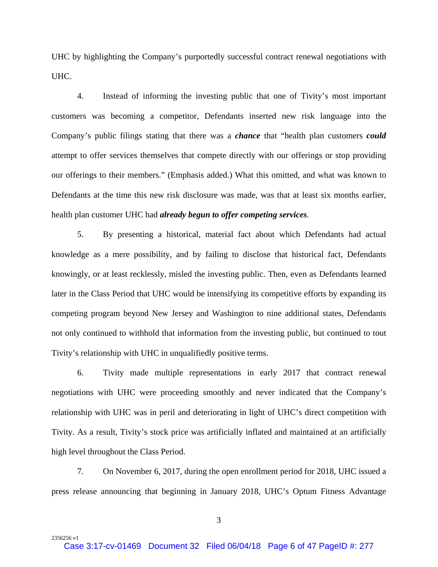UHC by highlighting the Company's purportedly successful contract renewal negotiations with UHC.

4. Instead of informing the investing public that one of Tivity's most important customers was becoming a competitor, Defendants inserted new risk language into the Company's public filings stating that there was a *chance* that "health plan customers *could* attempt to offer services themselves that compete directly with our offerings or stop providing our offerings to their members." (Emphasis added.) What this omitted, and what was known to Defendants at the time this new risk disclosure was made, was that at least six months earlier, health plan customer UHC had *already begun to offer competing services*.

5. By presenting a historical, material fact about which Defendants had actual knowledge as a mere possibility, and by failing to disclose that historical fact, Defendants knowingly, or at least recklessly, misled the investing public. Then, even as Defendants learned later in the Class Period that UHC would be intensifying its competitive efforts by expanding its competing program beyond New Jersey and Washington to nine additional states, Defendants not only continued to withhold that information from the investing public, but continued to tout Tivity's relationship with UHC in unqualifiedly positive terms.

6. Tivity made multiple representations in early 2017 that contract renewal negotiations with UHC were proceeding smoothly and never indicated that the Company's relationship with UHC was in peril and deteriorating in light of UHC's direct competition with Tivity. As a result, Tivity's stock price was artificially inflated and maintained at an artificially high level throughout the Class Period.

7. On November 6, 2017, during the open enrollment period for 2018, UHC issued a press release announcing that beginning in January 2018, UHC's Optum Fitness Advantage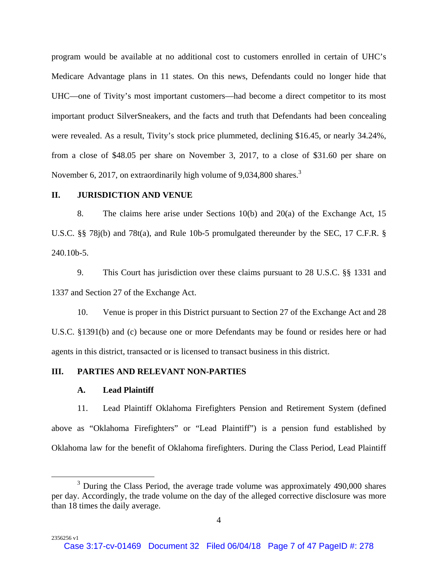program would be available at no additional cost to customers enrolled in certain of UHC's Medicare Advantage plans in 11 states. On this news, Defendants could no longer hide that UHC—one of Tivity's most important customers—had become a direct competitor to its most important product SilverSneakers, and the facts and truth that Defendants had been concealing were revealed. As a result, Tivity's stock price plummeted, declining \$16.45, or nearly 34.24%, from a close of \$48.05 per share on November 3, 2017, to a close of \$31.60 per share on November 6, 2017, on extraordinarily high volume of  $9,034,800$  shares.<sup>3</sup>

# **II. JURISDICTION AND VENUE**

8. The claims here arise under Sections 10(b) and 20(a) of the Exchange Act, 15 U.S.C. §§ 78j(b) and 78t(a), and Rule 10b-5 promulgated thereunder by the SEC, 17 C.F.R. § 240.10b-5.

9. This Court has jurisdiction over these claims pursuant to 28 U.S.C. §§ 1331 and 1337 and Section 27 of the Exchange Act.

10. Venue is proper in this District pursuant to Section 27 of the Exchange Act and 28 U.S.C. §1391(b) and (c) because one or more Defendants may be found or resides here or had agents in this district, transacted or is licensed to transact business in this district.

# **III. PARTIES AND RELEVANT NON-PARTIES**

#### **A. Lead Plaintiff**

2356256 v1

11. Lead Plaintiff Oklahoma Firefighters Pension and Retirement System (defined above as "Oklahoma Firefighters" or "Lead Plaintiff") is a pension fund established by Oklahoma law for the benefit of Oklahoma firefighters. During the Class Period, Lead Plaintiff

 $\frac{1}{3}$  $3$  During the Class Period, the average trade volume was approximately 490,000 shares per day. Accordingly, the trade volume on the day of the alleged corrective disclosure was more than 18 times the daily average.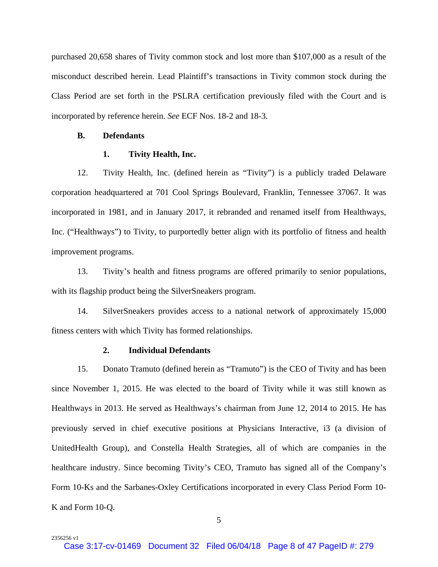purchased 20,658 shares of Tivity common stock and lost more than \$107,000 as a result of the misconduct described herein. Lead Plaintiff's transactions in Tivity common stock during the Class Period are set forth in the PSLRA certification previously filed with the Court and is incorporated by reference herein. *See* ECF Nos. 18-2 and 18-3.

### **B. Defendants**

2356256 v1

#### **1. Tivity Health, Inc.**

12. Tivity Health, Inc. (defined herein as "Tivity") is a publicly traded Delaware corporation headquartered at 701 Cool Springs Boulevard, Franklin, Tennessee 37067. It was incorporated in 1981, and in January 2017, it rebranded and renamed itself from Healthways, Inc. ("Healthways") to Tivity, to purportedly better align with its portfolio of fitness and health improvement programs.

13. Tivity's health and fitness programs are offered primarily to senior populations, with its flagship product being the SilverSneakers program.

14. SilverSneakers provides access to a national network of approximately 15,000 fitness centers with which Tivity has formed relationships.

### **2. Individual Defendants**

15. Donato Tramuto (defined herein as "Tramuto") is the CEO of Tivity and has been since November 1, 2015. He was elected to the board of Tivity while it was still known as Healthways in 2013. He served as Healthways's chairman from June 12, 2014 to 2015. He has previously served in chief executive positions at Physicians Interactive, i3 (a division of UnitedHealth Group), and Constella Health Strategies, all of which are companies in the healthcare industry. Since becoming Tivity's CEO, Tramuto has signed all of the Company's Form 10-Ks and the Sarbanes-Oxley Certifications incorporated in every Class Period Form 10- K and Form 10-Q.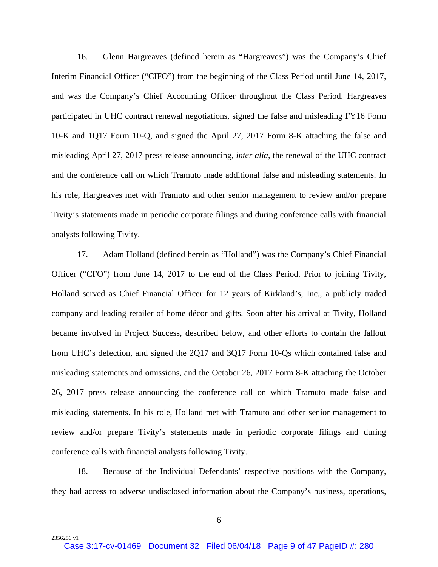16. Glenn Hargreaves (defined herein as "Hargreaves") was the Company's Chief Interim Financial Officer ("CIFO") from the beginning of the Class Period until June 14, 2017, and was the Company's Chief Accounting Officer throughout the Class Period. Hargreaves participated in UHC contract renewal negotiations, signed the false and misleading FY16 Form 10-K and 1Q17 Form 10-Q, and signed the April 27, 2017 Form 8-K attaching the false and misleading April 27, 2017 press release announcing, *inter alia*, the renewal of the UHC contract and the conference call on which Tramuto made additional false and misleading statements. In his role, Hargreaves met with Tramuto and other senior management to review and/or prepare Tivity's statements made in periodic corporate filings and during conference calls with financial analysts following Tivity.

17. Adam Holland (defined herein as "Holland") was the Company's Chief Financial Officer ("CFO") from June 14, 2017 to the end of the Class Period. Prior to joining Tivity, Holland served as Chief Financial Officer for 12 years of Kirkland's, Inc., a publicly traded company and leading retailer of home décor and gifts. Soon after his arrival at Tivity, Holland became involved in Project Success, described below, and other efforts to contain the fallout from UHC's defection, and signed the 2Q17 and 3Q17 Form 10-Qs which contained false and misleading statements and omissions, and the October 26, 2017 Form 8-K attaching the October 26, 2017 press release announcing the conference call on which Tramuto made false and misleading statements. In his role, Holland met with Tramuto and other senior management to review and/or prepare Tivity's statements made in periodic corporate filings and during conference calls with financial analysts following Tivity.

18. Because of the Individual Defendants' respective positions with the Company, they had access to adverse undisclosed information about the Company's business, operations,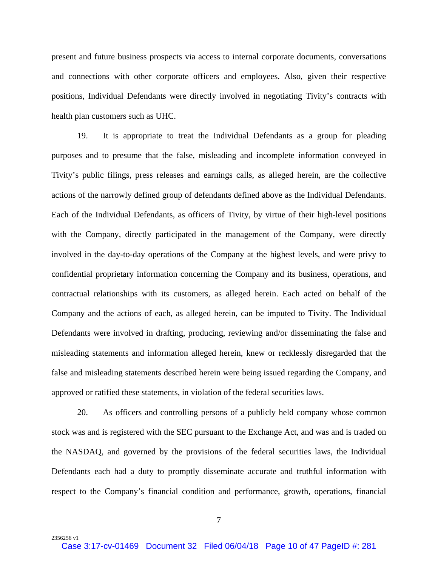present and future business prospects via access to internal corporate documents, conversations and connections with other corporate officers and employees. Also, given their respective positions, Individual Defendants were directly involved in negotiating Tivity's contracts with health plan customers such as UHC.

19. It is appropriate to treat the Individual Defendants as a group for pleading purposes and to presume that the false, misleading and incomplete information conveyed in Tivity's public filings, press releases and earnings calls, as alleged herein, are the collective actions of the narrowly defined group of defendants defined above as the Individual Defendants. Each of the Individual Defendants, as officers of Tivity, by virtue of their high-level positions with the Company, directly participated in the management of the Company, were directly involved in the day-to-day operations of the Company at the highest levels, and were privy to confidential proprietary information concerning the Company and its business, operations, and contractual relationships with its customers, as alleged herein. Each acted on behalf of the Company and the actions of each, as alleged herein, can be imputed to Tivity. The Individual Defendants were involved in drafting, producing, reviewing and/or disseminating the false and misleading statements and information alleged herein, knew or recklessly disregarded that the false and misleading statements described herein were being issued regarding the Company, and approved or ratified these statements, in violation of the federal securities laws.

20. As officers and controlling persons of a publicly held company whose common stock was and is registered with the SEC pursuant to the Exchange Act, and was and is traded on the NASDAQ, and governed by the provisions of the federal securities laws, the Individual Defendants each had a duty to promptly disseminate accurate and truthful information with respect to the Company's financial condition and performance, growth, operations, financial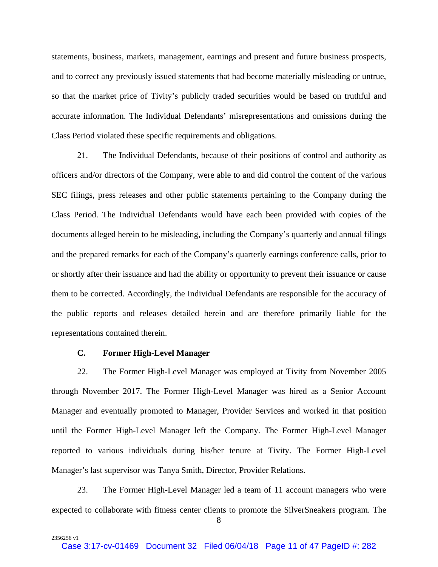statements, business, markets, management, earnings and present and future business prospects, and to correct any previously issued statements that had become materially misleading or untrue, so that the market price of Tivity's publicly traded securities would be based on truthful and accurate information. The Individual Defendants' misrepresentations and omissions during the Class Period violated these specific requirements and obligations.

21. The Individual Defendants, because of their positions of control and authority as officers and/or directors of the Company, were able to and did control the content of the various SEC filings, press releases and other public statements pertaining to the Company during the Class Period. The Individual Defendants would have each been provided with copies of the documents alleged herein to be misleading, including the Company's quarterly and annual filings and the prepared remarks for each of the Company's quarterly earnings conference calls, prior to or shortly after their issuance and had the ability or opportunity to prevent their issuance or cause them to be corrected. Accordingly, the Individual Defendants are responsible for the accuracy of the public reports and releases detailed herein and are therefore primarily liable for the representations contained therein.

## **C. Former High-Level Manager**

2356256 v1

22. The Former High-Level Manager was employed at Tivity from November 2005 through November 2017. The Former High-Level Manager was hired as a Senior Account Manager and eventually promoted to Manager, Provider Services and worked in that position until the Former High-Level Manager left the Company. The Former High-Level Manager reported to various individuals during his/her tenure at Tivity. The Former High-Level Manager's last supervisor was Tanya Smith, Director, Provider Relations.

23. The Former High-Level Manager led a team of 11 account managers who were expected to collaborate with fitness center clients to promote the SilverSneakers program. The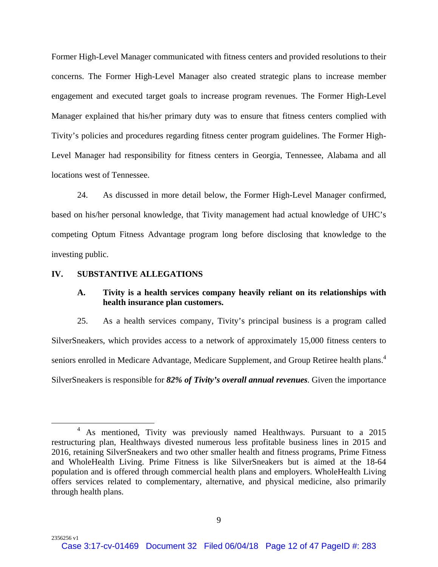Former High-Level Manager communicated with fitness centers and provided resolutions to their concerns. The Former High-Level Manager also created strategic plans to increase member engagement and executed target goals to increase program revenues. The Former High-Level Manager explained that his/her primary duty was to ensure that fitness centers complied with Tivity's policies and procedures regarding fitness center program guidelines. The Former High-Level Manager had responsibility for fitness centers in Georgia, Tennessee, Alabama and all locations west of Tennessee.

24. As discussed in more detail below, the Former High-Level Manager confirmed, based on his/her personal knowledge, that Tivity management had actual knowledge of UHC's competing Optum Fitness Advantage program long before disclosing that knowledge to the investing public.

#### **IV. SUBSTANTIVE ALLEGATIONS**

2356256 v1

# **A. Tivity is a health services company heavily reliant on its relationships with health insurance plan customers.**

25. As a health services company, Tivity's principal business is a program called SilverSneakers, which provides access to a network of approximately 15,000 fitness centers to seniors enrolled in Medicare Advantage, Medicare Supplement, and Group Retiree health plans.<sup>4</sup> SilverSneakers is responsible for *82% of Tivity's overall annual revenues*. Given the importance

 $\overline{\phantom{1}}$ <sup>4</sup> As mentioned, Tivity was previously named Healthways. Pursuant to a 2015 restructuring plan, Healthways divested numerous less profitable business lines in 2015 and 2016, retaining SilverSneakers and two other smaller health and fitness programs, Prime Fitness and WholeHealth Living. Prime Fitness is like SilverSneakers but is aimed at the 18-64 population and is offered through commercial health plans and employers. WholeHealth Living offers services related to complementary, alternative, and physical medicine, also primarily through health plans.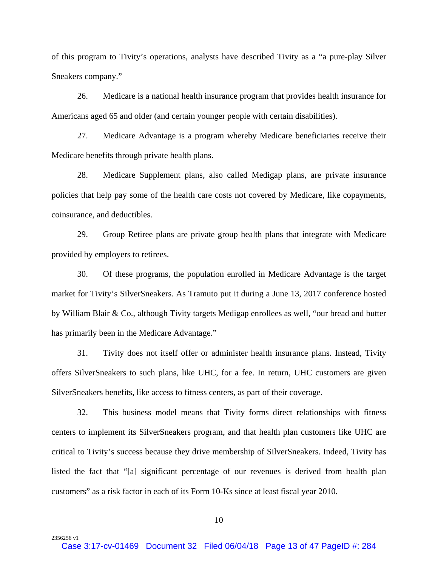of this program to Tivity's operations, analysts have described Tivity as a "a pure-play Silver Sneakers company."

26. Medicare is a national health insurance program that provides health insurance for Americans aged 65 and older (and certain younger people with certain disabilities).

27. Medicare Advantage is a program whereby Medicare beneficiaries receive their Medicare benefits through private health plans.

28. Medicare Supplement plans, also called Medigap plans, are private insurance policies that help pay some of the health care costs not covered by Medicare, like copayments, coinsurance, and deductibles.

29. Group Retiree plans are private group health plans that integrate with Medicare provided by employers to retirees.

30. Of these programs, the population enrolled in Medicare Advantage is the target market for Tivity's SilverSneakers. As Tramuto put it during a June 13, 2017 conference hosted by William Blair & Co., although Tivity targets Medigap enrollees as well, "our bread and butter has primarily been in the Medicare Advantage."

31. Tivity does not itself offer or administer health insurance plans. Instead, Tivity offers SilverSneakers to such plans, like UHC, for a fee. In return, UHC customers are given SilverSneakers benefits, like access to fitness centers, as part of their coverage.

32. This business model means that Tivity forms direct relationships with fitness centers to implement its SilverSneakers program, and that health plan customers like UHC are critical to Tivity's success because they drive membership of SilverSneakers. Indeed, Tivity has listed the fact that "[a] significant percentage of our revenues is derived from health plan customers" as a risk factor in each of its Form 10-Ks since at least fiscal year 2010.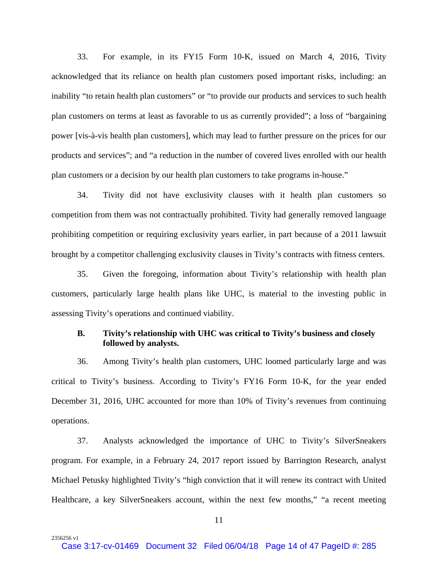33. For example, in its FY15 Form 10-K, issued on March 4, 2016, Tivity acknowledged that its reliance on health plan customers posed important risks, including: an inability "to retain health plan customers" or "to provide our products and services to such health plan customers on terms at least as favorable to us as currently provided"; a loss of "bargaining power [vis-à-vis health plan customers], which may lead to further pressure on the prices for our products and services"; and "a reduction in the number of covered lives enrolled with our health plan customers or a decision by our health plan customers to take programs in-house."

34. Tivity did not have exclusivity clauses with it health plan customers so competition from them was not contractually prohibited. Tivity had generally removed language prohibiting competition or requiring exclusivity years earlier, in part because of a 2011 lawsuit brought by a competitor challenging exclusivity clauses in Tivity's contracts with fitness centers.

35. Given the foregoing, information about Tivity's relationship with health plan customers, particularly large health plans like UHC, is material to the investing public in assessing Tivity's operations and continued viability.

### **B. Tivity's relationship with UHC was critical to Tivity's business and closely followed by analysts.**

36. Among Tivity's health plan customers, UHC loomed particularly large and was critical to Tivity's business. According to Tivity's FY16 Form 10-K, for the year ended December 31, 2016, UHC accounted for more than 10% of Tivity's revenues from continuing operations.

37. Analysts acknowledged the importance of UHC to Tivity's SilverSneakers program. For example, in a February 24, 2017 report issued by Barrington Research, analyst Michael Petusky highlighted Tivity's "high conviction that it will renew its contract with United Healthcare, a key SilverSneakers account, within the next few months," "a recent meeting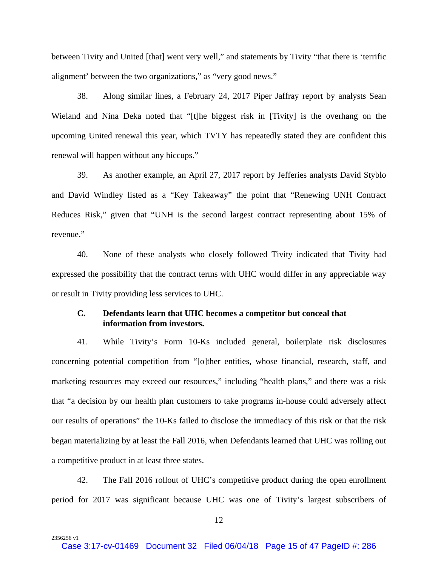between Tivity and United [that] went very well," and statements by Tivity "that there is 'terrific alignment' between the two organizations," as "very good news."

38. Along similar lines, a February 24, 2017 Piper Jaffray report by analysts Sean Wieland and Nina Deka noted that "[t]he biggest risk in [Tivity] is the overhang on the upcoming United renewal this year, which TVTY has repeatedly stated they are confident this renewal will happen without any hiccups."

39. As another example, an April 27, 2017 report by Jefferies analysts David Styblo and David Windley listed as a "Key Takeaway" the point that "Renewing UNH Contract Reduces Risk," given that "UNH is the second largest contract representing about 15% of revenue."

40. None of these analysts who closely followed Tivity indicated that Tivity had expressed the possibility that the contract terms with UHC would differ in any appreciable way or result in Tivity providing less services to UHC.

# **C. Defendants learn that UHC becomes a competitor but conceal that information from investors.**

41. While Tivity's Form 10-Ks included general, boilerplate risk disclosures concerning potential competition from "[o]ther entities, whose financial, research, staff, and marketing resources may exceed our resources," including "health plans," and there was a risk that "a decision by our health plan customers to take programs in-house could adversely affect our results of operations" the 10-Ks failed to disclose the immediacy of this risk or that the risk began materializing by at least the Fall 2016, when Defendants learned that UHC was rolling out a competitive product in at least three states.

42. The Fall 2016 rollout of UHC's competitive product during the open enrollment period for 2017 was significant because UHC was one of Tivity's largest subscribers of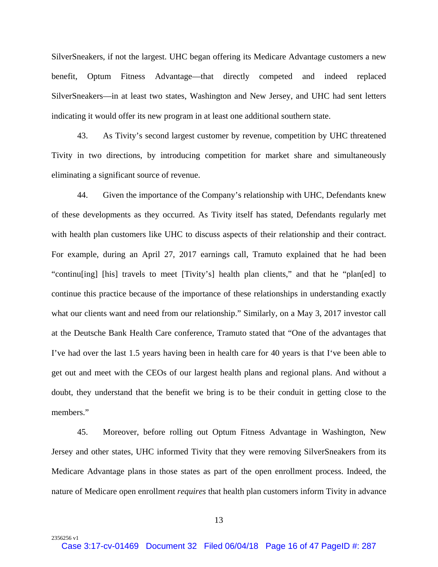SilverSneakers, if not the largest. UHC began offering its Medicare Advantage customers a new benefit, Optum Fitness Advantage—that directly competed and indeed replaced SilverSneakers—in at least two states, Washington and New Jersey, and UHC had sent letters indicating it would offer its new program in at least one additional southern state.

43. As Tivity's second largest customer by revenue, competition by UHC threatened Tivity in two directions, by introducing competition for market share and simultaneously eliminating a significant source of revenue.

44. Given the importance of the Company's relationship with UHC, Defendants knew of these developments as they occurred. As Tivity itself has stated, Defendants regularly met with health plan customers like UHC to discuss aspects of their relationship and their contract. For example, during an April 27, 2017 earnings call, Tramuto explained that he had been "continu[ing] [his] travels to meet [Tivity's] health plan clients," and that he "plan[ed] to continue this practice because of the importance of these relationships in understanding exactly what our clients want and need from our relationship." Similarly, on a May 3, 2017 investor call at the Deutsche Bank Health Care conference, Tramuto stated that "One of the advantages that I've had over the last 1.5 years having been in health care for 40 years is that I've been able to get out and meet with the CEOs of our largest health plans and regional plans. And without a doubt, they understand that the benefit we bring is to be their conduit in getting close to the members."

45. Moreover, before rolling out Optum Fitness Advantage in Washington, New Jersey and other states, UHC informed Tivity that they were removing SilverSneakers from its Medicare Advantage plans in those states as part of the open enrollment process. Indeed, the nature of Medicare open enrollment *requires* that health plan customers inform Tivity in advance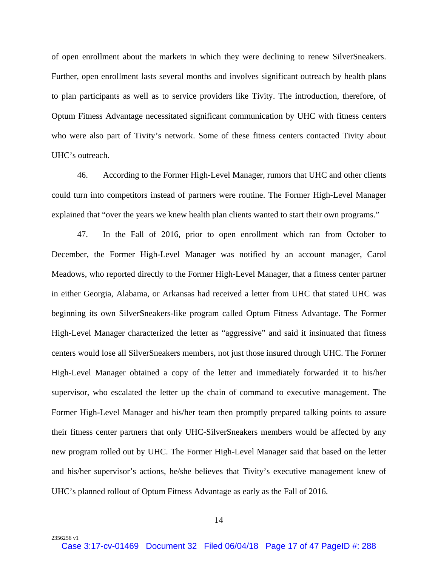of open enrollment about the markets in which they were declining to renew SilverSneakers. Further, open enrollment lasts several months and involves significant outreach by health plans to plan participants as well as to service providers like Tivity. The introduction, therefore, of Optum Fitness Advantage necessitated significant communication by UHC with fitness centers who were also part of Tivity's network. Some of these fitness centers contacted Tivity about UHC's outreach.

46. According to the Former High-Level Manager, rumors that UHC and other clients could turn into competitors instead of partners were routine. The Former High-Level Manager explained that "over the years we knew health plan clients wanted to start their own programs."

47. In the Fall of 2016, prior to open enrollment which ran from October to December, the Former High-Level Manager was notified by an account manager, Carol Meadows, who reported directly to the Former High-Level Manager, that a fitness center partner in either Georgia, Alabama, or Arkansas had received a letter from UHC that stated UHC was beginning its own SilverSneakers-like program called Optum Fitness Advantage. The Former High-Level Manager characterized the letter as "aggressive" and said it insinuated that fitness centers would lose all SilverSneakers members, not just those insured through UHC. The Former High-Level Manager obtained a copy of the letter and immediately forwarded it to his/her supervisor, who escalated the letter up the chain of command to executive management. The Former High-Level Manager and his/her team then promptly prepared talking points to assure their fitness center partners that only UHC-SilverSneakers members would be affected by any new program rolled out by UHC. The Former High-Level Manager said that based on the letter and his/her supervisor's actions, he/she believes that Tivity's executive management knew of UHC's planned rollout of Optum Fitness Advantage as early as the Fall of 2016.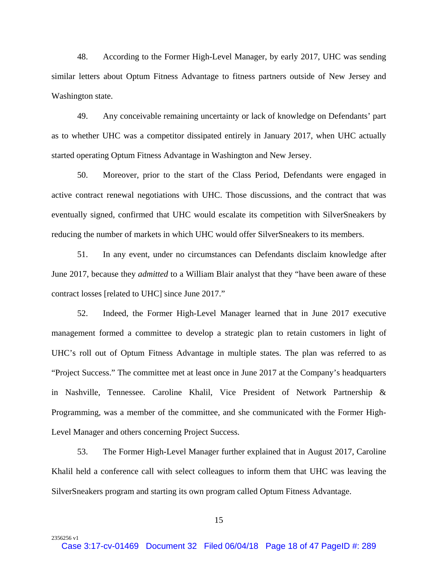48. According to the Former High-Level Manager, by early 2017, UHC was sending similar letters about Optum Fitness Advantage to fitness partners outside of New Jersey and Washington state.

49. Any conceivable remaining uncertainty or lack of knowledge on Defendants' part as to whether UHC was a competitor dissipated entirely in January 2017, when UHC actually started operating Optum Fitness Advantage in Washington and New Jersey.

50. Moreover, prior to the start of the Class Period, Defendants were engaged in active contract renewal negotiations with UHC. Those discussions, and the contract that was eventually signed, confirmed that UHC would escalate its competition with SilverSneakers by reducing the number of markets in which UHC would offer SilverSneakers to its members.

51. In any event, under no circumstances can Defendants disclaim knowledge after June 2017, because they *admitted* to a William Blair analyst that they "have been aware of these contract losses [related to UHC] since June 2017."

52. Indeed, the Former High-Level Manager learned that in June 2017 executive management formed a committee to develop a strategic plan to retain customers in light of UHC's roll out of Optum Fitness Advantage in multiple states. The plan was referred to as "Project Success." The committee met at least once in June 2017 at the Company's headquarters in Nashville, Tennessee. Caroline Khalil, Vice President of Network Partnership & Programming, was a member of the committee, and she communicated with the Former High-Level Manager and others concerning Project Success.

53. The Former High-Level Manager further explained that in August 2017, Caroline Khalil held a conference call with select colleagues to inform them that UHC was leaving the SilverSneakers program and starting its own program called Optum Fitness Advantage.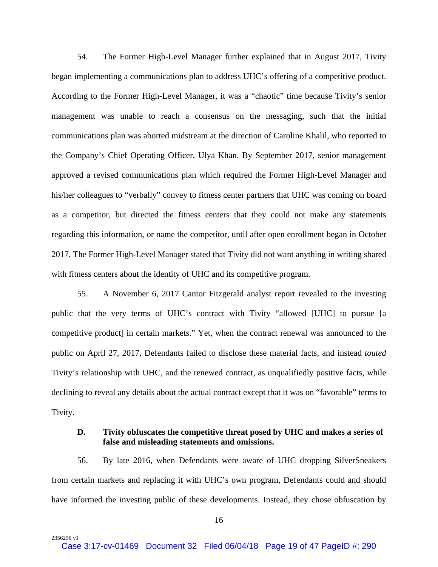54. The Former High-Level Manager further explained that in August 2017, Tivity began implementing a communications plan to address UHC's offering of a competitive product. According to the Former High-Level Manager, it was a "chaotic" time because Tivity's senior management was unable to reach a consensus on the messaging, such that the initial communications plan was aborted midstream at the direction of Caroline Khalil, who reported to the Company's Chief Operating Officer, Ulya Khan. By September 2017, senior management approved a revised communications plan which required the Former High-Level Manager and his/her colleagues to "verbally" convey to fitness center partners that UHC was coming on board as a competitor, but directed the fitness centers that they could not make any statements regarding this information, or name the competitor, until after open enrollment began in October 2017. The Former High-Level Manager stated that Tivity did not want anything in writing shared with fitness centers about the identity of UHC and its competitive program.

55. A November 6, 2017 Cantor Fitzgerald analyst report revealed to the investing public that the very terms of UHC's contract with Tivity "allowed [UHC] to pursue [a competitive product] in certain markets." Yet, when the contract renewal was announced to the public on April 27, 2017, Defendants failed to disclose these material facts, and instead *touted* Tivity's relationship with UHC, and the renewed contract, as unqualifiedly positive facts, while declining to reveal any details about the actual contract except that it was on "favorable" terms to Tivity.

# **D. Tivity obfuscates the competitive threat posed by UHC and makes a series of false and misleading statements and omissions.**

56. By late 2016, when Defendants were aware of UHC dropping SilverSneakers from certain markets and replacing it with UHC's own program, Defendants could and should have informed the investing public of these developments. Instead, they chose obfuscation by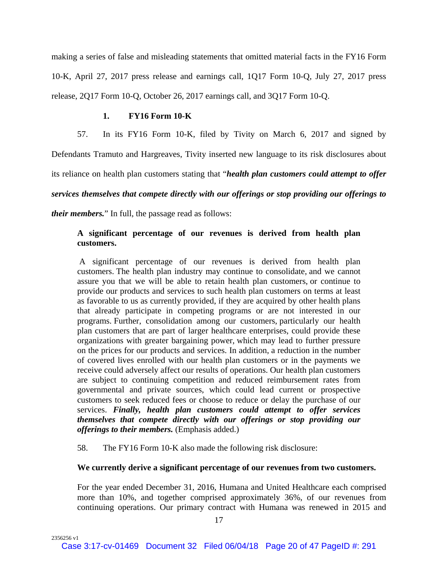making a series of false and misleading statements that omitted material facts in the FY16 Form 10-K, April 27, 2017 press release and earnings call, 1Q17 Form 10-Q, July 27, 2017 press release, 2Q17 Form 10-Q, October 26, 2017 earnings call, and 3Q17 Form 10-Q.

### **1. FY16 Form 10-K**

57. In its FY16 Form 10-K, filed by Tivity on March 6, 2017 and signed by

Defendants Tramuto and Hargreaves, Tivity inserted new language to its risk disclosures about

its reliance on health plan customers stating that "*health plan customers could attempt to offer* 

*services themselves that compete directly with our offerings or stop providing our offerings to* 

*their members.*" In full, the passage read as follows:

# **A significant percentage of our revenues is derived from health plan customers.**

 A significant percentage of our revenues is derived from health plan customers. The health plan industry may continue to consolidate, and we cannot assure you that we will be able to retain health plan customers, or continue to provide our products and services to such health plan customers on terms at least as favorable to us as currently provided, if they are acquired by other health plans that already participate in competing programs or are not interested in our programs. Further, consolidation among our customers, particularly our health plan customers that are part of larger healthcare enterprises, could provide these organizations with greater bargaining power, which may lead to further pressure on the prices for our products and services. In addition, a reduction in the number of covered lives enrolled with our health plan customers or in the payments we receive could adversely affect our results of operations. Our health plan customers are subject to continuing competition and reduced reimbursement rates from governmental and private sources, which could lead current or prospective customers to seek reduced fees or choose to reduce or delay the purchase of our services. *Finally, health plan customers could attempt to offer services themselves that compete directly with our offerings or stop providing our offerings to their members.* (Emphasis added.)

58. The FY16 Form 10-K also made the following risk disclosure:

### **We currently derive a significant percentage of our revenues from two customers.**

For the year ended December 31, 2016, Humana and United Healthcare each comprised more than 10%, and together comprised approximately 36%, of our revenues from continuing operations. Our primary contract with Humana was renewed in 2015 and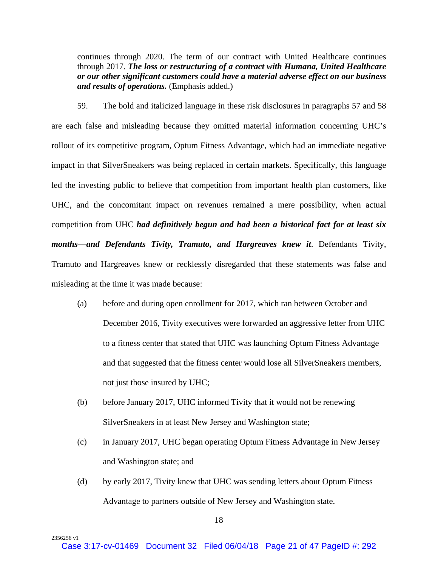continues through 2020. The term of our contract with United Healthcare continues through 2017. *The loss or restructuring of a contract with Humana, United Healthcare or our other significant customers could have a material adverse effect on our business and results of operations.* (Emphasis added.)

59. The bold and italicized language in these risk disclosures in paragraphs 57 and 58 are each false and misleading because they omitted material information concerning UHC's rollout of its competitive program, Optum Fitness Advantage, which had an immediate negative impact in that SilverSneakers was being replaced in certain markets. Specifically, this language led the investing public to believe that competition from important health plan customers, like UHC, and the concomitant impact on revenues remained a mere possibility, when actual competition from UHC *had definitively begun and had been a historical fact for at least six months—and Defendants Tivity, Tramuto, and Hargreaves knew it*. Defendants Tivity, Tramuto and Hargreaves knew or recklessly disregarded that these statements was false and misleading at the time it was made because:

- (a) before and during open enrollment for 2017, which ran between October and December 2016, Tivity executives were forwarded an aggressive letter from UHC to a fitness center that stated that UHC was launching Optum Fitness Advantage and that suggested that the fitness center would lose all SilverSneakers members, not just those insured by UHC;
- (b) before January 2017, UHC informed Tivity that it would not be renewing SilverSneakers in at least New Jersey and Washington state;
- (c) in January 2017, UHC began operating Optum Fitness Advantage in New Jersey and Washington state; and
- (d) by early 2017, Tivity knew that UHC was sending letters about Optum Fitness Advantage to partners outside of New Jersey and Washington state.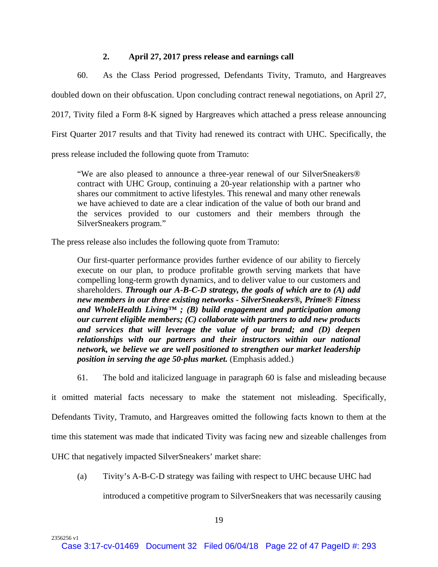### **2. April 27, 2017 press release and earnings call**

60. As the Class Period progressed, Defendants Tivity, Tramuto, and Hargreaves doubled down on their obfuscation. Upon concluding contract renewal negotiations, on April 27, 2017, Tivity filed a Form 8-K signed by Hargreaves which attached a press release announcing First Quarter 2017 results and that Tivity had renewed its contract with UHC. Specifically, the press release included the following quote from Tramuto:

"We are also pleased to announce a three-year renewal of our SilverSneakers® contract with UHC Group, continuing a 20-year relationship with a partner who shares our commitment to active lifestyles. This renewal and many other renewals we have achieved to date are a clear indication of the value of both our brand and the services provided to our customers and their members through the SilverSneakers program."

The press release also includes the following quote from Tramuto:

Our first-quarter performance provides further evidence of our ability to fiercely execute on our plan, to produce profitable growth serving markets that have compelling long-term growth dynamics, and to deliver value to our customers and shareholders. *Through our A-B-C-D strategy, the goals of which are to (A) add new members in our three existing networks - SilverSneakers®, Prime® Fitness and WholeHealth Living™ ; (B) build engagement and participation among our current eligible members; (C) collaborate with partners to add new products and services that will leverage the value of our brand; and (D) deepen relationships with our partners and their instructors within our national network, we believe we are well positioned to strengthen our market leadership position in serving the age 50-plus market.* (Emphasis added.)

61. The bold and italicized language in paragraph 60 is false and misleading because

it omitted material facts necessary to make the statement not misleading. Specifically, Defendants Tivity, Tramuto, and Hargreaves omitted the following facts known to them at the time this statement was made that indicated Tivity was facing new and sizeable challenges from UHC that negatively impacted SilverSneakers' market share:

(a) Tivity's A-B-C-D strategy was failing with respect to UHC because UHC had

introduced a competitive program to SilverSneakers that was necessarily causing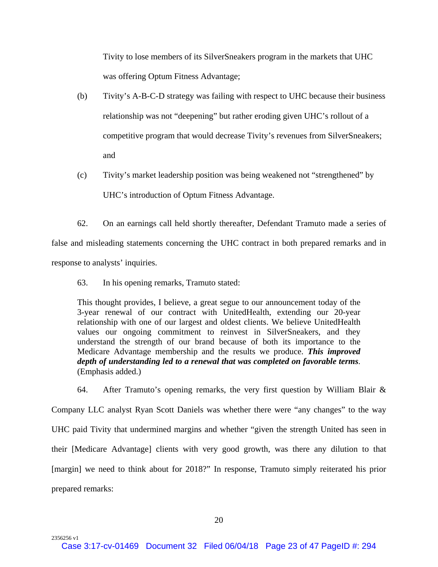Tivity to lose members of its SilverSneakers program in the markets that UHC was offering Optum Fitness Advantage;

- (b) Tivity's A-B-C-D strategy was failing with respect to UHC because their business relationship was not "deepening" but rather eroding given UHC's rollout of a competitive program that would decrease Tivity's revenues from SilverSneakers; and
- (c) Tivity's market leadership position was being weakened not "strengthened" by UHC's introduction of Optum Fitness Advantage.

62. On an earnings call held shortly thereafter, Defendant Tramuto made a series of false and misleading statements concerning the UHC contract in both prepared remarks and in response to analysts' inquiries.

63. In his opening remarks, Tramuto stated:

2356256 v1

This thought provides, I believe, a great segue to our announcement today of the 3-year renewal of our contract with UnitedHealth, extending our 20-year relationship with one of our largest and oldest clients. We believe UnitedHealth values our ongoing commitment to reinvest in SilverSneakers, and they understand the strength of our brand because of both its importance to the Medicare Advantage membership and the results we produce. *This improved depth of understanding led to a renewal that was completed on favorable terms*. (Emphasis added.)

64. After Tramuto's opening remarks, the very first question by William Blair & Company LLC analyst Ryan Scott Daniels was whether there were "any changes" to the way UHC paid Tivity that undermined margins and whether "given the strength United has seen in their [Medicare Advantage] clients with very good growth, was there any dilution to that [margin] we need to think about for 2018?" In response, Tramuto simply reiterated his prior prepared remarks: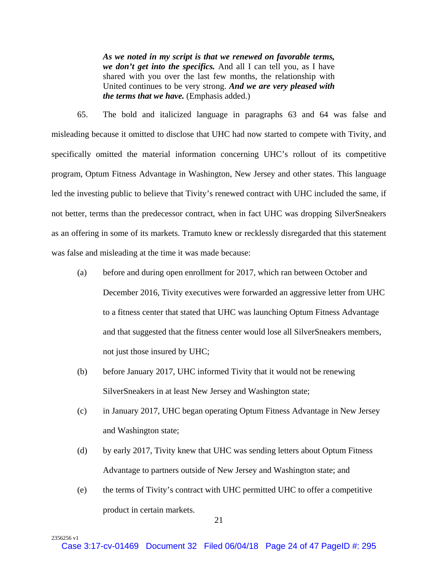*As we noted in my script is that we renewed on favorable terms, we don't get into the specifics.* And all I can tell you, as I have shared with you over the last few months, the relationship with United continues to be very strong. *And we are very pleased with the terms that we have.* (Emphasis added.)

65. The bold and italicized language in paragraphs 63 and 64 was false and misleading because it omitted to disclose that UHC had now started to compete with Tivity, and specifically omitted the material information concerning UHC's rollout of its competitive program, Optum Fitness Advantage in Washington, New Jersey and other states. This language led the investing public to believe that Tivity's renewed contract with UHC included the same, if not better, terms than the predecessor contract, when in fact UHC was dropping SilverSneakers as an offering in some of its markets. Tramuto knew or recklessly disregarded that this statement was false and misleading at the time it was made because:

- (a) before and during open enrollment for 2017, which ran between October and December 2016, Tivity executives were forwarded an aggressive letter from UHC to a fitness center that stated that UHC was launching Optum Fitness Advantage and that suggested that the fitness center would lose all SilverSneakers members, not just those insured by UHC;
- (b) before January 2017, UHC informed Tivity that it would not be renewing SilverSneakers in at least New Jersey and Washington state;
- (c) in January 2017, UHC began operating Optum Fitness Advantage in New Jersey and Washington state;
- (d) by early 2017, Tivity knew that UHC was sending letters about Optum Fitness Advantage to partners outside of New Jersey and Washington state; and
- (e) the terms of Tivity's contract with UHC permitted UHC to offer a competitive product in certain markets.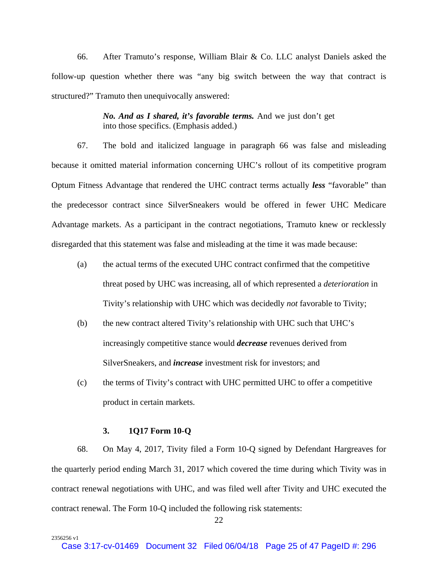66. After Tramuto's response, William Blair & Co. LLC analyst Daniels asked the follow-up question whether there was "any big switch between the way that contract is structured?" Tramuto then unequivocally answered:

> *No. And as I shared, it's favorable terms.* And we just don't get into those specifics. (Emphasis added.)

67. The bold and italicized language in paragraph 66 was false and misleading because it omitted material information concerning UHC's rollout of its competitive program Optum Fitness Advantage that rendered the UHC contract terms actually *less* "favorable" than the predecessor contract since SilverSneakers would be offered in fewer UHC Medicare Advantage markets. As a participant in the contract negotiations, Tramuto knew or recklessly disregarded that this statement was false and misleading at the time it was made because:

- (a) the actual terms of the executed UHC contract confirmed that the competitive threat posed by UHC was increasing, all of which represented a *deterioration* in Tivity's relationship with UHC which was decidedly *not* favorable to Tivity;
- (b) the new contract altered Tivity's relationship with UHC such that UHC's increasingly competitive stance would *decrease* revenues derived from SilverSneakers, and *increase* investment risk for investors; and
- (c) the terms of Tivity's contract with UHC permitted UHC to offer a competitive product in certain markets.

# **3. 1Q17 Form 10-Q**

2356256 v1

68. On May 4, 2017, Tivity filed a Form 10-Q signed by Defendant Hargreaves for the quarterly period ending March 31, 2017 which covered the time during which Tivity was in contract renewal negotiations with UHC, and was filed well after Tivity and UHC executed the contract renewal. The Form 10-Q included the following risk statements: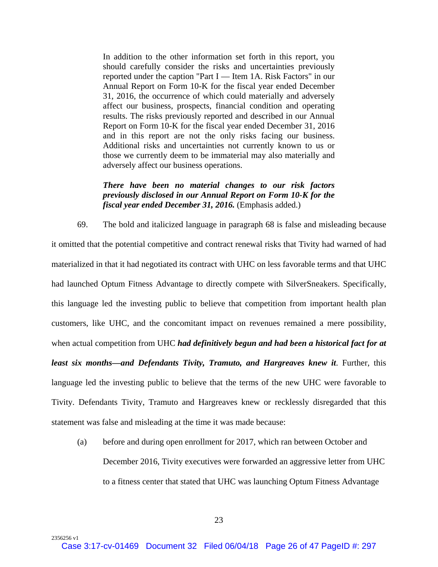In addition to the other information set forth in this report, you should carefully consider the risks and uncertainties previously reported under the caption "Part I — Item 1A. Risk Factors" in our Annual Report on Form 10-K for the fiscal year ended December 31, 2016, the occurrence of which could materially and adversely affect our business, prospects, financial condition and operating results. The risks previously reported and described in our Annual Report on Form 10-K for the fiscal year ended December 31, 2016 and in this report are not the only risks facing our business. Additional risks and uncertainties not currently known to us or those we currently deem to be immaterial may also materially and adversely affect our business operations.

# *There have been no material changes to our risk factors previously disclosed in our Annual Report on Form 10-K for the fiscal year ended December 31, 2016.* (Emphasis added.)

69. The bold and italicized language in paragraph 68 is false and misleading because it omitted that the potential competitive and contract renewal risks that Tivity had warned of had materialized in that it had negotiated its contract with UHC on less favorable terms and that UHC had launched Optum Fitness Advantage to directly compete with SilverSneakers. Specifically, this language led the investing public to believe that competition from important health plan customers, like UHC, and the concomitant impact on revenues remained a mere possibility, when actual competition from UHC *had definitively begun and had been a historical fact for at least six months—and Defendants Tivity, Tramuto, and Hargreaves knew it.* Further, this language led the investing public to believe that the terms of the new UHC were favorable to Tivity. Defendants Tivity, Tramuto and Hargreaves knew or recklessly disregarded that this statement was false and misleading at the time it was made because:

(a) before and during open enrollment for 2017, which ran between October and December 2016, Tivity executives were forwarded an aggressive letter from UHC to a fitness center that stated that UHC was launching Optum Fitness Advantage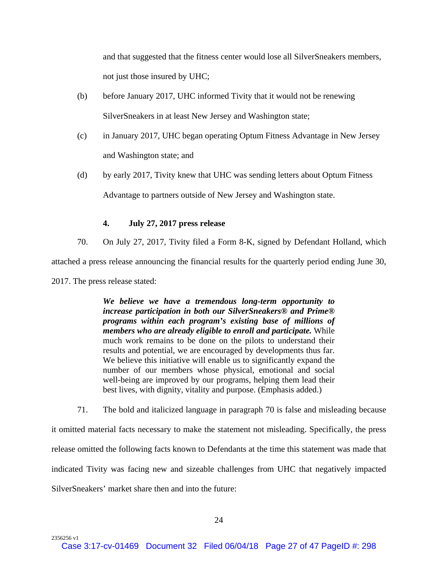and that suggested that the fitness center would lose all SilverSneakers members, not just those insured by UHC;

- (b) before January 2017, UHC informed Tivity that it would not be renewing SilverSneakers in at least New Jersey and Washington state;
- (c) in January 2017, UHC began operating Optum Fitness Advantage in New Jersey and Washington state; and
- (d) by early 2017, Tivity knew that UHC was sending letters about Optum Fitness Advantage to partners outside of New Jersey and Washington state.

### **4. July 27, 2017 press release**

70. On July 27, 2017, Tivity filed a Form 8-K, signed by Defendant Holland, which attached a press release announcing the financial results for the quarterly period ending June 30, 2017. The press release stated:

> *We believe we have a tremendous long-term opportunity to increase participation in both our SilverSneakers® and Prime® programs within each program's existing base of millions of members who are already eligible to enroll and participate.* While much work remains to be done on the pilots to understand their results and potential, we are encouraged by developments thus far. We believe this initiative will enable us to significantly expand the number of our members whose physical, emotional and social well-being are improved by our programs, helping them lead their best lives, with dignity, vitality and purpose. (Emphasis added.)

71. The bold and italicized language in paragraph 70 is false and misleading because it omitted material facts necessary to make the statement not misleading. Specifically, the press release omitted the following facts known to Defendants at the time this statement was made that indicated Tivity was facing new and sizeable challenges from UHC that negatively impacted SilverSneakers' market share then and into the future: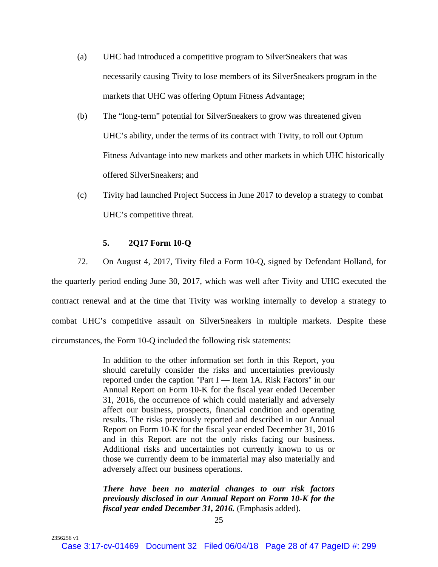- (a) UHC had introduced a competitive program to SilverSneakers that was necessarily causing Tivity to lose members of its SilverSneakers program in the markets that UHC was offering Optum Fitness Advantage;
- (b) The "long-term" potential for SilverSneakers to grow was threatened given UHC's ability, under the terms of its contract with Tivity, to roll out Optum Fitness Advantage into new markets and other markets in which UHC historically offered SilverSneakers; and
- (c) Tivity had launched Project Success in June 2017 to develop a strategy to combat UHC's competitive threat.

#### **5. 2Q17 Form 10-Q**

2356256 v1

72. On August 4, 2017, Tivity filed a Form 10-Q, signed by Defendant Holland, for the quarterly period ending June 30, 2017, which was well after Tivity and UHC executed the contract renewal and at the time that Tivity was working internally to develop a strategy to combat UHC's competitive assault on SilverSneakers in multiple markets. Despite these circumstances, the Form 10-Q included the following risk statements:

> In addition to the other information set forth in this Report, you should carefully consider the risks and uncertainties previously reported under the caption "Part I — Item 1A. Risk Factors" in our Annual Report on Form 10-K for the fiscal year ended December 31, 2016, the occurrence of which could materially and adversely affect our business, prospects, financial condition and operating results. The risks previously reported and described in our Annual Report on Form 10-K for the fiscal year ended December 31, 2016 and in this Report are not the only risks facing our business. Additional risks and uncertainties not currently known to us or those we currently deem to be immaterial may also materially and adversely affect our business operations.

> *There have been no material changes to our risk factors previously disclosed in our Annual Report on Form 10-K for the fiscal year ended December 31, 2016.* (Emphasis added).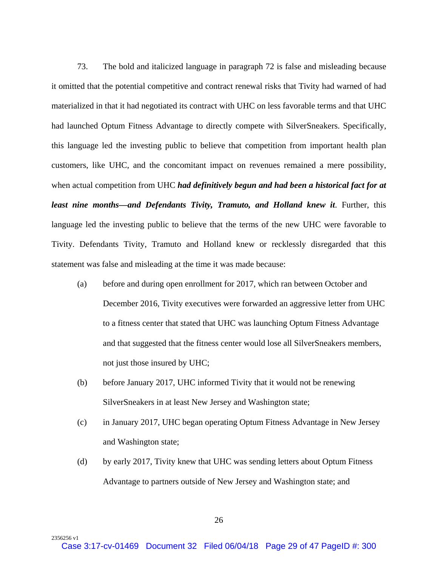73. The bold and italicized language in paragraph 72 is false and misleading because it omitted that the potential competitive and contract renewal risks that Tivity had warned of had materialized in that it had negotiated its contract with UHC on less favorable terms and that UHC had launched Optum Fitness Advantage to directly compete with SilverSneakers. Specifically, this language led the investing public to believe that competition from important health plan customers, like UHC, and the concomitant impact on revenues remained a mere possibility, when actual competition from UHC *had definitively begun and had been a historical fact for at least nine months—and Defendants Tivity, Tramuto, and Holland knew it*. Further, this language led the investing public to believe that the terms of the new UHC were favorable to Tivity. Defendants Tivity, Tramuto and Holland knew or recklessly disregarded that this statement was false and misleading at the time it was made because:

- (a) before and during open enrollment for 2017, which ran between October and December 2016, Tivity executives were forwarded an aggressive letter from UHC to a fitness center that stated that UHC was launching Optum Fitness Advantage and that suggested that the fitness center would lose all SilverSneakers members, not just those insured by UHC;
- (b) before January 2017, UHC informed Tivity that it would not be renewing SilverSneakers in at least New Jersey and Washington state;
- (c) in January 2017, UHC began operating Optum Fitness Advantage in New Jersey and Washington state;
- (d) by early 2017, Tivity knew that UHC was sending letters about Optum Fitness Advantage to partners outside of New Jersey and Washington state; and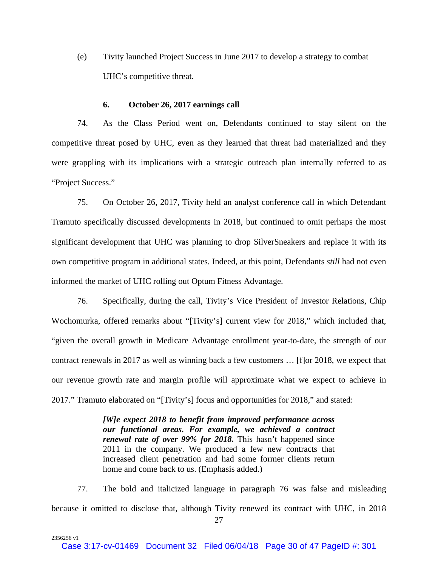(e) Tivity launched Project Success in June 2017 to develop a strategy to combat UHC's competitive threat.

#### **6. October 26, 2017 earnings call**

74. As the Class Period went on, Defendants continued to stay silent on the competitive threat posed by UHC, even as they learned that threat had materialized and they were grappling with its implications with a strategic outreach plan internally referred to as "Project Success."

75. On October 26, 2017, Tivity held an analyst conference call in which Defendant Tramuto specifically discussed developments in 2018, but continued to omit perhaps the most significant development that UHC was planning to drop SilverSneakers and replace it with its own competitive program in additional states. Indeed, at this point, Defendants *still* had not even informed the market of UHC rolling out Optum Fitness Advantage.

76. Specifically, during the call, Tivity's Vice President of Investor Relations, Chip Wochomurka, offered remarks about "[Tivity's] current view for 2018," which included that, "given the overall growth in Medicare Advantage enrollment year-to-date, the strength of our contract renewals in 2017 as well as winning back a few customers … [f]or 2018, we expect that our revenue growth rate and margin profile will approximate what we expect to achieve in 2017." Tramuto elaborated on "[Tivity's] focus and opportunities for 2018," and stated:

> *[W]e expect 2018 to benefit from improved performance across our functional areas. For example, we achieved a contract renewal rate of over 99% for 2018.* This hasn't happened since 2011 in the company. We produced a few new contracts that increased client penetration and had some former clients return home and come back to us. (Emphasis added.)

77. The bold and italicized language in paragraph 76 was false and misleading because it omitted to disclose that, although Tivity renewed its contract with UHC, in 2018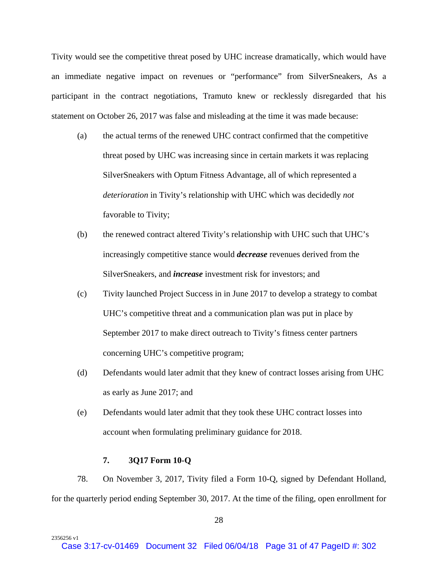Tivity would see the competitive threat posed by UHC increase dramatically, which would have an immediate negative impact on revenues or "performance" from SilverSneakers, As a participant in the contract negotiations, Tramuto knew or recklessly disregarded that his statement on October 26, 2017 was false and misleading at the time it was made because:

- (a) the actual terms of the renewed UHC contract confirmed that the competitive threat posed by UHC was increasing since in certain markets it was replacing SilverSneakers with Optum Fitness Advantage, all of which represented a *deterioration* in Tivity's relationship with UHC which was decidedly *not* favorable to Tivity;
- (b) the renewed contract altered Tivity's relationship with UHC such that UHC's increasingly competitive stance would *decrease* revenues derived from the SilverSneakers, and *increase* investment risk for investors; and
- (c) Tivity launched Project Success in in June 2017 to develop a strategy to combat UHC's competitive threat and a communication plan was put in place by September 2017 to make direct outreach to Tivity's fitness center partners concerning UHC's competitive program;
- (d) Defendants would later admit that they knew of contract losses arising from UHC as early as June 2017; and
- (e) Defendants would later admit that they took these UHC contract losses into account when formulating preliminary guidance for 2018.

# **7. 3Q17 Form 10-Q**

2356256 v1

78. On November 3, 2017, Tivity filed a Form 10-Q, signed by Defendant Holland, for the quarterly period ending September 30, 2017. At the time of the filing, open enrollment for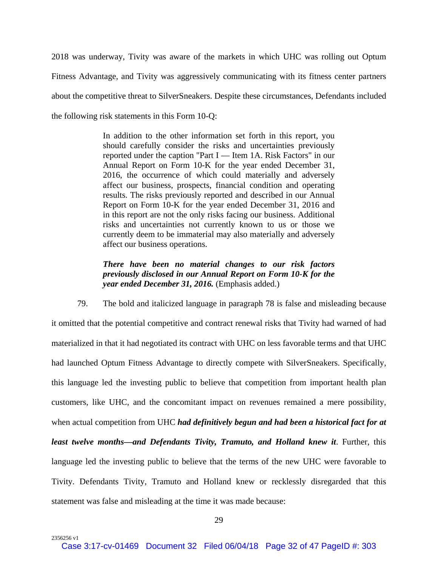2018 was underway, Tivity was aware of the markets in which UHC was rolling out Optum Fitness Advantage, and Tivity was aggressively communicating with its fitness center partners about the competitive threat to SilverSneakers. Despite these circumstances, Defendants included the following risk statements in this Form 10-Q:

> In addition to the other information set forth in this report, you should carefully consider the risks and uncertainties previously reported under the caption "Part I — Item 1A. Risk Factors" in our Annual Report on Form 10-K for the year ended December 31, 2016, the occurrence of which could materially and adversely affect our business, prospects, financial condition and operating results. The risks previously reported and described in our Annual Report on Form 10-K for the year ended December 31, 2016 and in this report are not the only risks facing our business. Additional risks and uncertainties not currently known to us or those we currently deem to be immaterial may also materially and adversely affect our business operations.

> *There have been no material changes to our risk factors previously disclosed in our Annual Report on Form 10-K for the year ended December 31, 2016.* (Emphasis added.)

79. The bold and italicized language in paragraph 78 is false and misleading because it omitted that the potential competitive and contract renewal risks that Tivity had warned of had materialized in that it had negotiated its contract with UHC on less favorable terms and that UHC had launched Optum Fitness Advantage to directly compete with SilverSneakers. Specifically, this language led the investing public to believe that competition from important health plan customers, like UHC, and the concomitant impact on revenues remained a mere possibility, when actual competition from UHC *had definitively begun and had been a historical fact for at least twelve months—and Defendants Tivity, Tramuto, and Holland knew it.* Further, this language led the investing public to believe that the terms of the new UHC were favorable to Tivity. Defendants Tivity, Tramuto and Holland knew or recklessly disregarded that this statement was false and misleading at the time it was made because: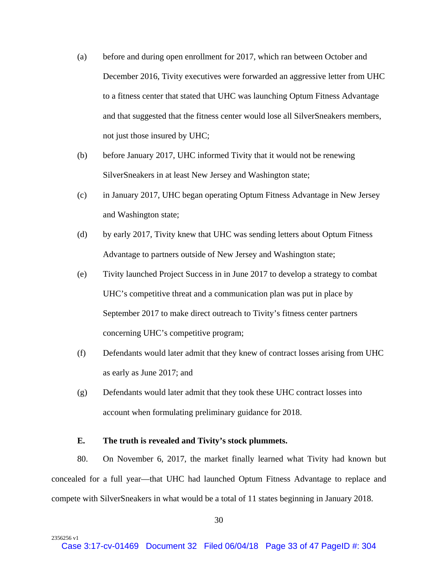- (a) before and during open enrollment for 2017, which ran between October and December 2016, Tivity executives were forwarded an aggressive letter from UHC to a fitness center that stated that UHC was launching Optum Fitness Advantage and that suggested that the fitness center would lose all SilverSneakers members, not just those insured by UHC;
- (b) before January 2017, UHC informed Tivity that it would not be renewing SilverSneakers in at least New Jersey and Washington state;
- (c) in January 2017, UHC began operating Optum Fitness Advantage in New Jersey and Washington state;
- (d) by early 2017, Tivity knew that UHC was sending letters about Optum Fitness Advantage to partners outside of New Jersey and Washington state;
- (e) Tivity launched Project Success in in June 2017 to develop a strategy to combat UHC's competitive threat and a communication plan was put in place by September 2017 to make direct outreach to Tivity's fitness center partners concerning UHC's competitive program;
- (f) Defendants would later admit that they knew of contract losses arising from UHC as early as June 2017; and
- (g) Defendants would later admit that they took these UHC contract losses into account when formulating preliminary guidance for 2018.

#### **E. The truth is revealed and Tivity's stock plummets.**

2356256 v1

80. On November 6, 2017, the market finally learned what Tivity had known but concealed for a full year—that UHC had launched Optum Fitness Advantage to replace and compete with SilverSneakers in what would be a total of 11 states beginning in January 2018.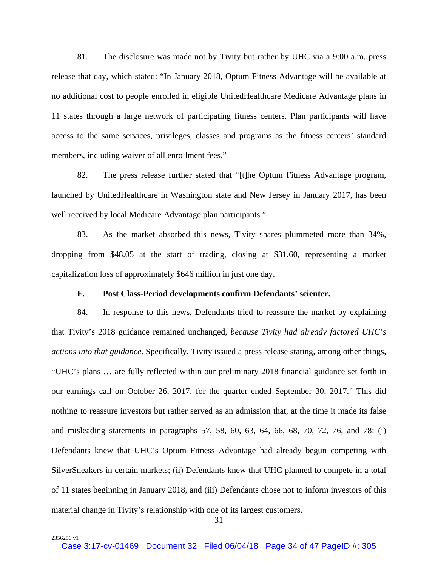81. The disclosure was made not by Tivity but rather by UHC via a 9:00 a.m. press release that day, which stated: "In January 2018, Optum Fitness Advantage will be available at no additional cost to people enrolled in eligible UnitedHealthcare Medicare Advantage plans in 11 states through a large network of participating fitness centers. Plan participants will have access to the same services, privileges, classes and programs as the fitness centers' standard members, including waiver of all enrollment fees."

82. The press release further stated that "[t]he Optum Fitness Advantage program, launched by UnitedHealthcare in Washington state and New Jersey in January 2017, has been well received by local Medicare Advantage plan participants."

83. As the market absorbed this news, Tivity shares plummeted more than 34%, dropping from \$48.05 at the start of trading, closing at \$31.60, representing a market capitalization loss of approximately \$646 million in just one day.

#### **F. Post Class-Period developments confirm Defendants' scienter.**

84. In response to this news, Defendants tried to reassure the market by explaining that Tivity's 2018 guidance remained unchanged, *because Tivity had already factored UHC's actions into that guidance*. Specifically, Tivity issued a press release stating, among other things, "UHC's plans … are fully reflected within our preliminary 2018 financial guidance set forth in our earnings call on October 26, 2017, for the quarter ended September 30, 2017." This did nothing to reassure investors but rather served as an admission that, at the time it made its false and misleading statements in paragraphs 57, 58, 60, 63, 64, 66, 68, 70, 72, 76, and 78: (i) Defendants knew that UHC's Optum Fitness Advantage had already begun competing with SilverSneakers in certain markets; (ii) Defendants knew that UHC planned to compete in a total of 11 states beginning in January 2018, and (iii) Defendants chose not to inform investors of this material change in Tivity's relationship with one of its largest customers.

31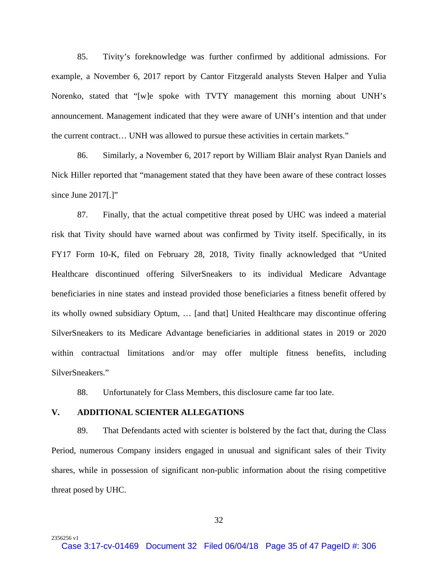85. Tivity's foreknowledge was further confirmed by additional admissions. For example, a November 6, 2017 report by Cantor Fitzgerald analysts Steven Halper and Yulia Norenko, stated that "[w]e spoke with TVTY management this morning about UNH's announcement. Management indicated that they were aware of UNH's intention and that under the current contract… UNH was allowed to pursue these activities in certain markets."

86. Similarly, a November 6, 2017 report by William Blair analyst Ryan Daniels and Nick Hiller reported that "management stated that they have been aware of these contract losses since June 2017[.]"

87. Finally, that the actual competitive threat posed by UHC was indeed a material risk that Tivity should have warned about was confirmed by Tivity itself. Specifically, in its FY17 Form 10-K, filed on February 28, 2018, Tivity finally acknowledged that "United Healthcare discontinued offering SilverSneakers to its individual Medicare Advantage beneficiaries in nine states and instead provided those beneficiaries a fitness benefit offered by its wholly owned subsidiary Optum, … [and that] United Healthcare may discontinue offering SilverSneakers to its Medicare Advantage beneficiaries in additional states in 2019 or 2020 within contractual limitations and/or may offer multiple fitness benefits, including SilverSneakers."

88. Unfortunately for Class Members, this disclosure came far too late.

### **V. ADDITIONAL SCIENTER ALLEGATIONS**

2356256 v1

89. That Defendants acted with scienter is bolstered by the fact that, during the Class Period, numerous Company insiders engaged in unusual and significant sales of their Tivity shares, while in possession of significant non-public information about the rising competitive threat posed by UHC.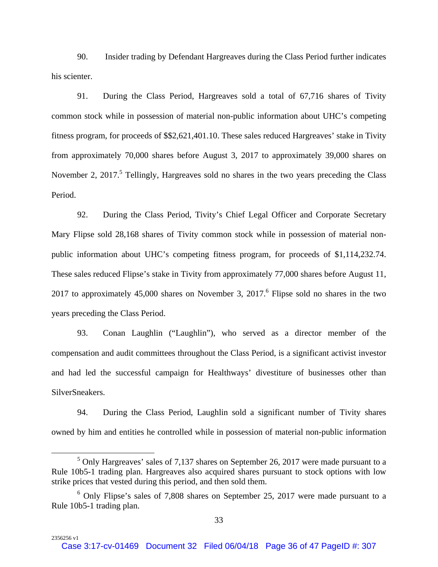90. Insider trading by Defendant Hargreaves during the Class Period further indicates his scienter.

91. During the Class Period, Hargreaves sold a total of 67,716 shares of Tivity common stock while in possession of material non-public information about UHC's competing fitness program, for proceeds of \$\$2,621,401.10. These sales reduced Hargreaves' stake in Tivity from approximately 70,000 shares before August 3, 2017 to approximately 39,000 shares on November 2, 2017.<sup>5</sup> Tellingly, Hargreaves sold no shares in the two years preceding the Class Period.

92. During the Class Period, Tivity's Chief Legal Officer and Corporate Secretary Mary Flipse sold 28,168 shares of Tivity common stock while in possession of material nonpublic information about UHC's competing fitness program, for proceeds of \$1,114,232.74. These sales reduced Flipse's stake in Tivity from approximately 77,000 shares before August 11, 2017 to approximately 45,000 shares on November 3, 2017. <sup>6</sup> Flipse sold no shares in the two years preceding the Class Period.

93. Conan Laughlin ("Laughlin"), who served as a director member of the compensation and audit committees throughout the Class Period, is a significant activist investor and had led the successful campaign for Healthways' divestiture of businesses other than SilverSneakers.

94. During the Class Period, Laughlin sold a significant number of Tivity shares owned by him and entities he controlled while in possession of material non-public information

 $\frac{1}{5}$  $5$  Only Hargreaves' sales of 7,137 shares on September 26, 2017 were made pursuant to a Rule 10b5-1 trading plan. Hargreaves also acquired shares pursuant to stock options with low strike prices that vested during this period, and then sold them.

<sup>&</sup>lt;sup>6</sup> Only Flipse's sales of 7,808 shares on September 25, 2017 were made pursuant to a Rule 10b5-1 trading plan.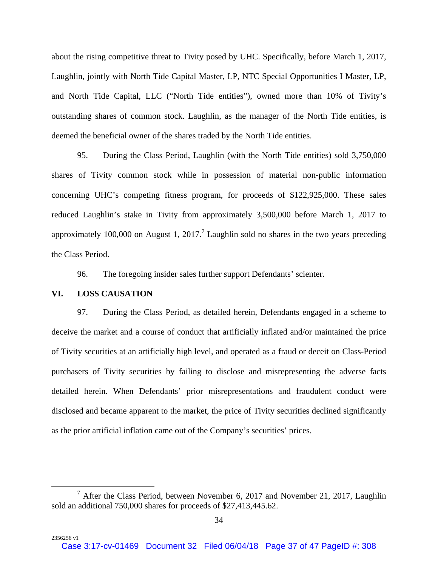about the rising competitive threat to Tivity posed by UHC. Specifically, before March 1, 2017, Laughlin, jointly with North Tide Capital Master, LP, NTC Special Opportunities I Master, LP, and North Tide Capital, LLC ("North Tide entities"), owned more than 10% of Tivity's outstanding shares of common stock. Laughlin, as the manager of the North Tide entities, is deemed the beneficial owner of the shares traded by the North Tide entities.

95. During the Class Period, Laughlin (with the North Tide entities) sold 3,750,000 shares of Tivity common stock while in possession of material non-public information concerning UHC's competing fitness program, for proceeds of \$122,925,000. These sales reduced Laughlin's stake in Tivity from approximately 3,500,000 before March 1, 2017 to approximately 100,000 on August 1, 2017.<sup>7</sup> Laughlin sold no shares in the two years preceding the Class Period.

96. The foregoing insider sales further support Defendants' scienter.

### **VI. LOSS CAUSATION**

2356256 v1

97. During the Class Period, as detailed herein, Defendants engaged in a scheme to deceive the market and a course of conduct that artificially inflated and/or maintained the price of Tivity securities at an artificially high level, and operated as a fraud or deceit on Class-Period purchasers of Tivity securities by failing to disclose and misrepresenting the adverse facts detailed herein. When Defendants' prior misrepresentations and fraudulent conduct were disclosed and became apparent to the market, the price of Tivity securities declined significantly as the prior artificial inflation came out of the Company's securities' prices.

 $\overline{7}$  $^7$  After the Class Period, between November 6, 2017 and November 21, 2017, Laughlin sold an additional 750,000 shares for proceeds of \$27,413,445.62.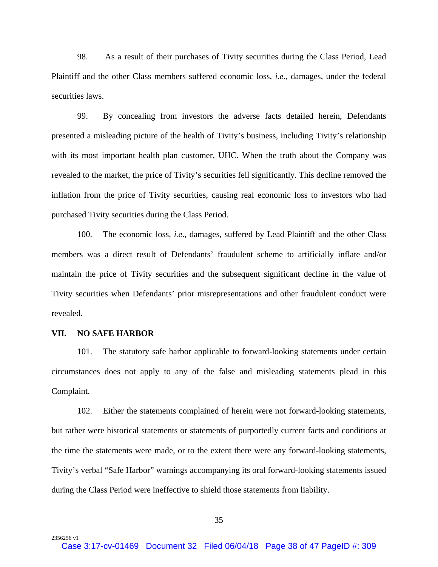98. As a result of their purchases of Tivity securities during the Class Period, Lead Plaintiff and the other Class members suffered economic loss*, i.e*., damages, under the federal securities laws.

99. By concealing from investors the adverse facts detailed herein, Defendants presented a misleading picture of the health of Tivity's business, including Tivity's relationship with its most important health plan customer, UHC. When the truth about the Company was revealed to the market, the price of Tivity's securities fell significantly. This decline removed the inflation from the price of Tivity securities, causing real economic loss to investors who had purchased Tivity securities during the Class Period.

100. The economic loss, *i.e*., damages, suffered by Lead Plaintiff and the other Class members was a direct result of Defendants' fraudulent scheme to artificially inflate and/or maintain the price of Tivity securities and the subsequent significant decline in the value of Tivity securities when Defendants' prior misrepresentations and other fraudulent conduct were revealed.

#### **VII. NO SAFE HARBOR**

2356256 v1

101. The statutory safe harbor applicable to forward-looking statements under certain circumstances does not apply to any of the false and misleading statements plead in this Complaint.

102. Either the statements complained of herein were not forward-looking statements, but rather were historical statements or statements of purportedly current facts and conditions at the time the statements were made, or to the extent there were any forward-looking statements, Tivity's verbal "Safe Harbor" warnings accompanying its oral forward-looking statements issued during the Class Period were ineffective to shield those statements from liability.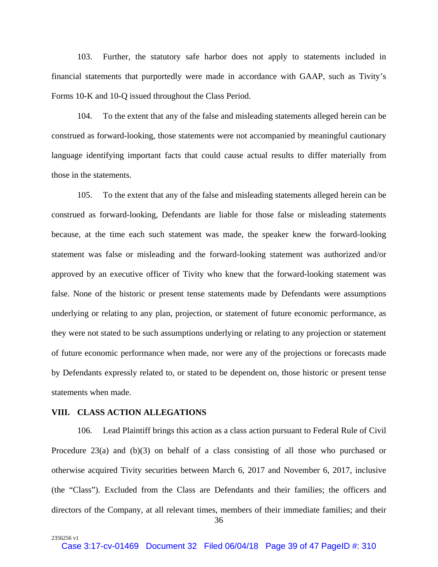103. Further, the statutory safe harbor does not apply to statements included in financial statements that purportedly were made in accordance with GAAP, such as Tivity's Forms 10-K and 10-Q issued throughout the Class Period.

104. To the extent that any of the false and misleading statements alleged herein can be construed as forward-looking, those statements were not accompanied by meaningful cautionary language identifying important facts that could cause actual results to differ materially from those in the statements.

105. To the extent that any of the false and misleading statements alleged herein can be construed as forward-looking, Defendants are liable for those false or misleading statements because, at the time each such statement was made, the speaker knew the forward-looking statement was false or misleading and the forward-looking statement was authorized and/or approved by an executive officer of Tivity who knew that the forward-looking statement was false. None of the historic or present tense statements made by Defendants were assumptions underlying or relating to any plan, projection, or statement of future economic performance, as they were not stated to be such assumptions underlying or relating to any projection or statement of future economic performance when made, nor were any of the projections or forecasts made by Defendants expressly related to, or stated to be dependent on, those historic or present tense statements when made.

#### **VIII. CLASS ACTION ALLEGATIONS**

2356256 v1

106. Lead Plaintiff brings this action as a class action pursuant to Federal Rule of Civil Procedure 23(a) and (b)(3) on behalf of a class consisting of all those who purchased or otherwise acquired Tivity securities between March 6, 2017 and November 6, 2017, inclusive (the "Class"). Excluded from the Class are Defendants and their families; the officers and directors of the Company, at all relevant times, members of their immediate families; and their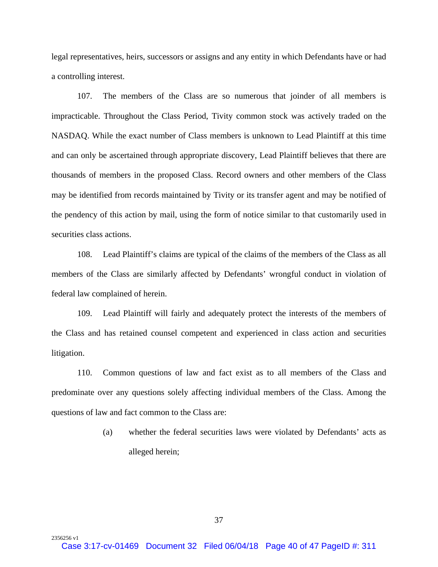legal representatives, heirs, successors or assigns and any entity in which Defendants have or had a controlling interest.

107. The members of the Class are so numerous that joinder of all members is impracticable. Throughout the Class Period, Tivity common stock was actively traded on the NASDAQ. While the exact number of Class members is unknown to Lead Plaintiff at this time and can only be ascertained through appropriate discovery, Lead Plaintiff believes that there are thousands of members in the proposed Class. Record owners and other members of the Class may be identified from records maintained by Tivity or its transfer agent and may be notified of the pendency of this action by mail, using the form of notice similar to that customarily used in securities class actions.

108. Lead Plaintiff's claims are typical of the claims of the members of the Class as all members of the Class are similarly affected by Defendants' wrongful conduct in violation of federal law complained of herein.

109. Lead Plaintiff will fairly and adequately protect the interests of the members of the Class and has retained counsel competent and experienced in class action and securities litigation.

110. Common questions of law and fact exist as to all members of the Class and predominate over any questions solely affecting individual members of the Class. Among the questions of law and fact common to the Class are:

> (a) whether the federal securities laws were violated by Defendants' acts as alleged herein;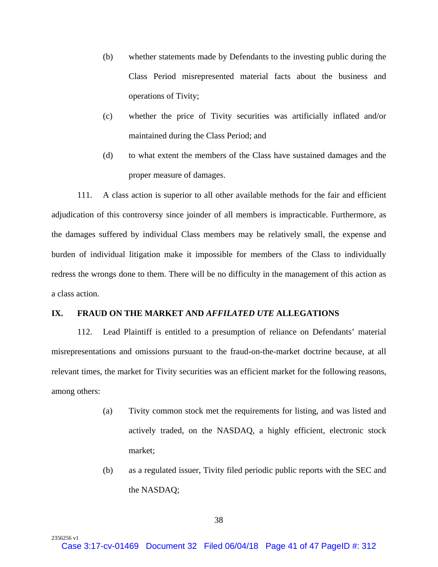- (b) whether statements made by Defendants to the investing public during the Class Period misrepresented material facts about the business and operations of Tivity;
- (c) whether the price of Tivity securities was artificially inflated and/or maintained during the Class Period; and
- (d) to what extent the members of the Class have sustained damages and the proper measure of damages.

111. A class action is superior to all other available methods for the fair and efficient adjudication of this controversy since joinder of all members is impracticable. Furthermore, as the damages suffered by individual Class members may be relatively small, the expense and burden of individual litigation make it impossible for members of the Class to individually redress the wrongs done to them. There will be no difficulty in the management of this action as a class action.

### **IX. FRAUD ON THE MARKET AND** *AFFILATED UTE* **ALLEGATIONS**

112. Lead Plaintiff is entitled to a presumption of reliance on Defendants' material misrepresentations and omissions pursuant to the fraud-on-the-market doctrine because, at all relevant times, the market for Tivity securities was an efficient market for the following reasons, among others:

- (a) Tivity common stock met the requirements for listing, and was listed and actively traded, on the NASDAQ, a highly efficient, electronic stock market;
- (b) as a regulated issuer, Tivity filed periodic public reports with the SEC and the NASDAQ;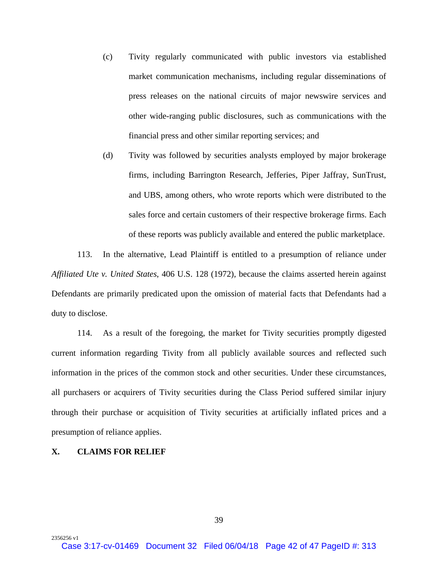- (c) Tivity regularly communicated with public investors via established market communication mechanisms, including regular disseminations of press releases on the national circuits of major newswire services and other wide-ranging public disclosures, such as communications with the financial press and other similar reporting services; and
- (d) Tivity was followed by securities analysts employed by major brokerage firms, including Barrington Research, Jefferies, Piper Jaffray, SunTrust, and UBS, among others, who wrote reports which were distributed to the sales force and certain customers of their respective brokerage firms. Each of these reports was publicly available and entered the public marketplace.

113. In the alternative, Lead Plaintiff is entitled to a presumption of reliance under *Affiliated Ute v. United States*, 406 U.S. 128 (1972), because the claims asserted herein against Defendants are primarily predicated upon the omission of material facts that Defendants had a duty to disclose.

114. As a result of the foregoing, the market for Tivity securities promptly digested current information regarding Tivity from all publicly available sources and reflected such information in the prices of the common stock and other securities. Under these circumstances, all purchasers or acquirers of Tivity securities during the Class Period suffered similar injury through their purchase or acquisition of Tivity securities at artificially inflated prices and a presumption of reliance applies.

#### **X. CLAIMS FOR RELIEF**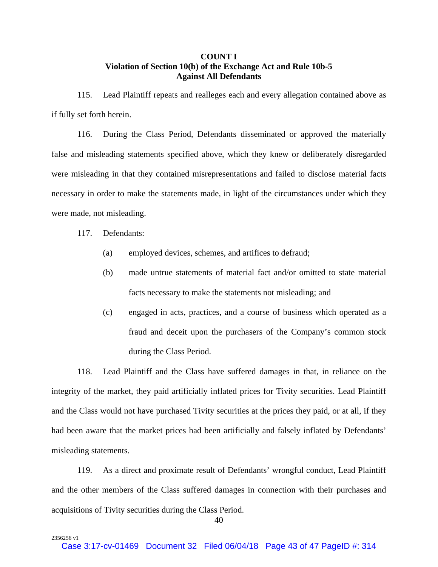# **COUNT I Violation of Section 10(b) of the Exchange Act and Rule 10b-5 Against All Defendants**

115. Lead Plaintiff repeats and realleges each and every allegation contained above as if fully set forth herein.

116. During the Class Period, Defendants disseminated or approved the materially false and misleading statements specified above, which they knew or deliberately disregarded were misleading in that they contained misrepresentations and failed to disclose material facts necessary in order to make the statements made, in light of the circumstances under which they were made, not misleading.

117. Defendants:

2356256 v1

- (a) employed devices, schemes, and artifices to defraud;
- (b) made untrue statements of material fact and/or omitted to state material facts necessary to make the statements not misleading; and
- (c) engaged in acts, practices, and a course of business which operated as a fraud and deceit upon the purchasers of the Company's common stock during the Class Period.

118. Lead Plaintiff and the Class have suffered damages in that, in reliance on the integrity of the market, they paid artificially inflated prices for Tivity securities. Lead Plaintiff and the Class would not have purchased Tivity securities at the prices they paid, or at all, if they had been aware that the market prices had been artificially and falsely inflated by Defendants' misleading statements.

119. As a direct and proximate result of Defendants' wrongful conduct, Lead Plaintiff and the other members of the Class suffered damages in connection with their purchases and acquisitions of Tivity securities during the Class Period.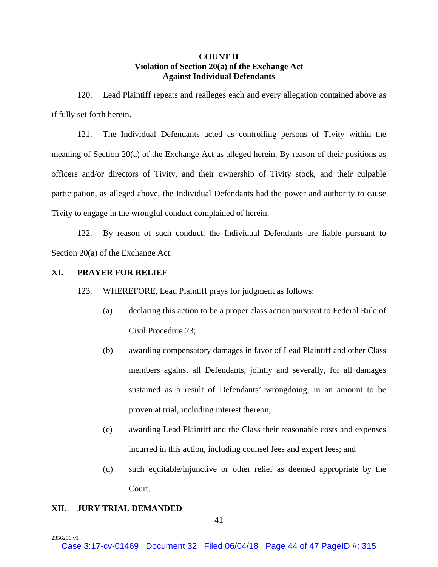## **COUNT II Violation of Section 20(a) of the Exchange Act Against Individual Defendants**

120. Lead Plaintiff repeats and realleges each and every allegation contained above as if fully set forth herein.

121. The Individual Defendants acted as controlling persons of Tivity within the meaning of Section 20(a) of the Exchange Act as alleged herein. By reason of their positions as officers and/or directors of Tivity, and their ownership of Tivity stock, and their culpable participation, as alleged above, the Individual Defendants had the power and authority to cause Tivity to engage in the wrongful conduct complained of herein.

122. By reason of such conduct, the Individual Defendants are liable pursuant to Section 20(a) of the Exchange Act.

# **XI. PRAYER FOR RELIEF**

123. WHEREFORE, Lead Plaintiff prays for judgment as follows:

- (a) declaring this action to be a proper class action pursuant to Federal Rule of Civil Procedure 23;
- (b) awarding compensatory damages in favor of Lead Plaintiff and other Class members against all Defendants, jointly and severally, for all damages sustained as a result of Defendants' wrongdoing, in an amount to be proven at trial, including interest thereon;
- (c) awarding Lead Plaintiff and the Class their reasonable costs and expenses incurred in this action, including counsel fees and expert fees; and
- (d) such equitable/injunctive or other relief as deemed appropriate by the Court.

#### **XII. JURY TRIAL DEMANDED**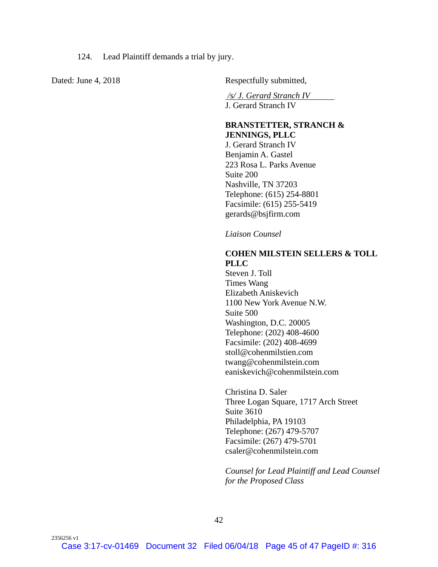124. Lead Plaintiff demands a trial by jury.

2356256 v1

Dated: June 4, 2018 Respectfully submitted,

*/s/ J. Gerard Stranch IV* 

J. Gerard Stranch IV

#### **BRANSTETTER, STRANCH & JENNINGS, PLLC**

J. Gerard Stranch IV Benjamin A. Gastel 223 Rosa L. Parks Avenue Suite 200 Nashville, TN 37203 Telephone: (615) 254-8801 Facsimile: (615) 255-5419 gerards@bsjfirm.com

*Liaison Counsel*

# **COHEN MILSTEIN SELLERS & TOLL PLLC**

Steven J. Toll Times Wang Elizabeth Aniskevich 1100 New York Avenue N.W. Suite 500 Washington, D.C. 20005 Telephone: (202) 408-4600 Facsimile: (202) 408-4699 stoll@cohenmilstien.com twang@cohenmilstein.com eaniskevich@cohenmilstein.com

Christina D. Saler Three Logan Square, 1717 Arch Street Suite 3610 Philadelphia, PA 19103 Telephone: (267) 479-5707 Facsimile: (267) 479-5701 csaler@cohenmilstein.com

*Counsel for Lead Plaintiff and Lead Counsel for the Proposed Class*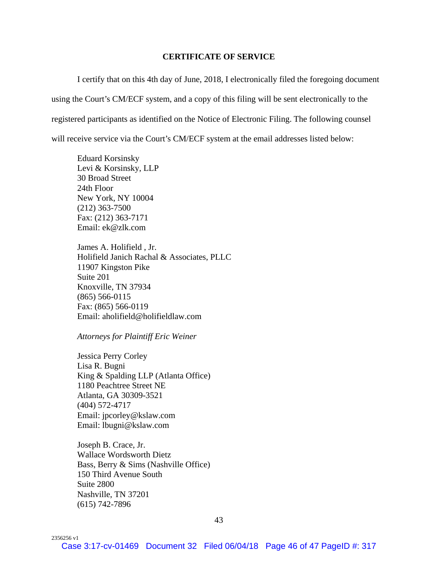#### **CERTIFICATE OF SERVICE**

 I certify that on this 4th day of June, 2018, I electronically filed the foregoing document using the Court's CM/ECF system, and a copy of this filing will be sent electronically to the registered participants as identified on the Notice of Electronic Filing. The following counsel will receive service via the Court's CM/ECF system at the email addresses listed below:

Eduard Korsinsky Levi & Korsinsky, LLP 30 Broad Street 24th Floor New York, NY 10004 (212) 363-7500 Fax: (212) 363-7171 Email: ek@zlk.com

James A. Holifield , Jr. Holifield Janich Rachal & Associates, PLLC 11907 Kingston Pike Suite 201 Knoxville, TN 37934 (865) 566-0115 Fax: (865) 566-0119 Email: aholifield@holifieldlaw.com

*Attorneys for Plaintiff Eric Weiner*

Jessica Perry Corley Lisa R. Bugni King & Spalding LLP (Atlanta Office) 1180 Peachtree Street NE Atlanta, GA 30309-3521 (404) 572-4717 Email: jpcorley@kslaw.com Email: lbugni@kslaw.com

Joseph B. Crace, Jr. Wallace Wordsworth Dietz Bass, Berry & Sims (Nashville Office) 150 Third Avenue South Suite 2800 Nashville, TN 37201 (615) 742-7896